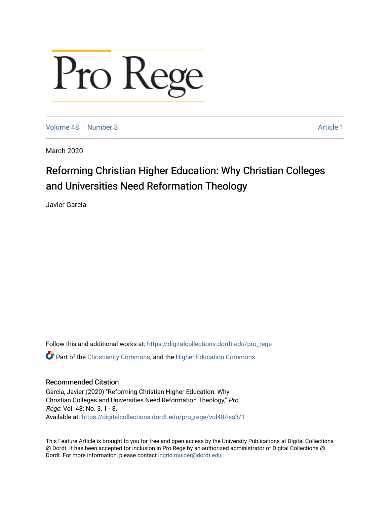# Pro Rege

[Volume 48](https://digitalcollections.dordt.edu/pro_rege/vol48) [Number 3](https://digitalcollections.dordt.edu/pro_rege/vol48/iss3) Article 1

March 2020

### Reforming Christian Higher Education: Why Christian Colleges and Universities Need Reformation Theology

Javier Garcia

Follow this and additional works at: [https://digitalcollections.dordt.edu/pro\\_rege](https://digitalcollections.dordt.edu/pro_rege?utm_source=digitalcollections.dordt.edu%2Fpro_rege%2Fvol48%2Fiss3%2F1&utm_medium=PDF&utm_campaign=PDFCoverPages)  Part of the [Christianity Commons,](http://network.bepress.com/hgg/discipline/1181?utm_source=digitalcollections.dordt.edu%2Fpro_rege%2Fvol48%2Fiss3%2F1&utm_medium=PDF&utm_campaign=PDFCoverPages) and the [Higher Education Commons](http://network.bepress.com/hgg/discipline/1245?utm_source=digitalcollections.dordt.edu%2Fpro_rege%2Fvol48%2Fiss3%2F1&utm_medium=PDF&utm_campaign=PDFCoverPages) 

#### Recommended Citation

Garcia, Javier (2020) "Reforming Christian Higher Education: Why Christian Colleges and Universities Need Reformation Theology," Pro Rege: Vol. 48: No. 3, 1 - 8. Available at: [https://digitalcollections.dordt.edu/pro\\_rege/vol48/iss3/1](https://digitalcollections.dordt.edu/pro_rege/vol48/iss3/1?utm_source=digitalcollections.dordt.edu%2Fpro_rege%2Fvol48%2Fiss3%2F1&utm_medium=PDF&utm_campaign=PDFCoverPages) 

This Feature Article is brought to you for free and open access by the University Publications at Digital Collections @ Dordt. It has been accepted for inclusion in Pro Rege by an authorized administrator of Digital Collections @ Dordt. For more information, please contact [ingrid.mulder@dordt.edu.](mailto:ingrid.mulder@dordt.edu)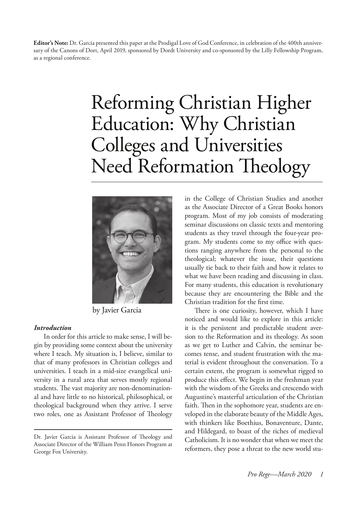**Editor's Note:** Dr. Garcia presented this paper at the Prodigal Love of God Conference, in celebration of the 400th anniversary of the Canons of Dort, April 2019, sponsored by Dordt University and co-sponsored by the Lilly Fellowship Program, as a regional conference.

## Reforming Christian Higher Education: Why Christian Colleges and Universities Need Reformation Theology



by Javier Garcia

#### *Introduction*

In order for this article to make sense, I will begin by providing some context about the university where I teach. My situation is, I believe, similar to that of many professors in Christian colleges and universities. I teach in a mid-size evangelical university in a rural area that serves mostly regional students. The vast majority are non-denominational and have little to no historical, philosophical, or theological background when they arrive. I serve two roles, one as Assistant Professor of Theology

in the College of Christian Studies and another as the Associate Director of a Great Books honors program. Most of my job consists of moderating seminar discussions on classic texts and mentoring students as they travel through the four-year program. My students come to my office with questions ranging anywhere from the personal to the theological; whatever the issue, their questions usually tie back to their faith and how it relates to what we have been reading and discussing in class. For many students, this education is revolutionary because they are encountering the Bible and the Christian tradition for the first time.

There is one curiosity, however, which I have noticed and would like to explore in this article: it is the persistent and predictable student aversion to the Reformation and its theology. As soon as we get to Luther and Calvin, the seminar becomes tense, and student frustration with the material is evident throughout the conversation. To a certain extent, the program is somewhat rigged to produce this effect. We begin in the freshman year with the wisdom of the Greeks and crescendo with Augustine's masterful articulation of the Christian faith. Then in the sophomore year, students are enveloped in the elaborate beauty of the Middle Ages, with thinkers like Boethius, Bonaventure, Dante, and Hildegard, to boast of the riches of medieval Catholicism. It is no wonder that when we meet the reformers, they pose a threat to the new world stu-

Dr. Javier Garcia is Assistant Professor of Theology and Associate Director of the William Penn Honors Program at George Fox University.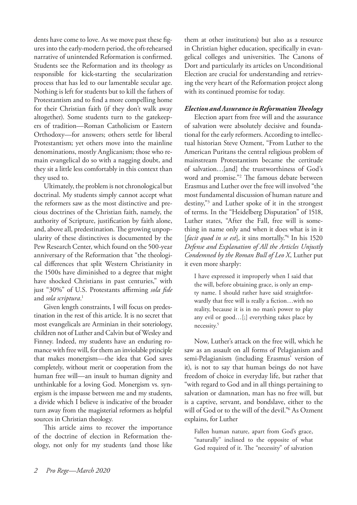dents have come to love. As we move past these figures into the early-modern period, the oft-rehearsed narrative of unintended Reformation is confirmed. Students see the Reformation and its theology as responsible for kick-starting the secularization process that has led to our lamentable secular age. Nothing is left for students but to kill the fathers of Protestantism and to find a more compelling home for their Christian faith (if they don't walk away altogether). Some students turn to the gatekeepers of tradition—Roman Catholicism or Eastern Orthodoxy—for answers; others settle for liberal Protestantism; yet others move into the mainline denominations, mostly Anglicanism; those who remain evangelical do so with a nagging doubt, and they sit a little less comfortably in this context than they used to.

Ultimately, the problem is not chronological but doctrinal. My students simply cannot accept what the reformers saw as the most distinctive and precious doctrines of the Christian faith, namely, the authority of Scripture, justification by faith alone, and, above all, predestination. The growing unpopularity of these distinctives is documented by the Pew Research Center, which found on the 500-year anniversary of the Reformation that "the theological differences that split Western Christianity in the 1500s have diminished to a degree that might have shocked Christians in past centuries," with just "30%" of U.S. Protestants affirming *sola fide* and *sola scriptura*. 1

Given length constraints, I will focus on predestination in the rest of this article. It is no secret that most evangelicals are Arminian in their soteriology, children not of Luther and Calvin but of Wesley and Finney. Indeed, my students have an enduring romance with free will, for them an inviolable principle that makes monergism—the idea that God saves completely, without merit or cooperation from the human free will—an insult to human dignity and unthinkable for a loving God. Monergism vs. synergism is the impasse between me and my students, a divide which I believe is indicative of the broader turn away from the magisterial reformers as helpful sources in Christian theology.

This article aims to recover the importance of the doctrine of election in Reformation theology, not only for my students (and those like them at other institutions) but also as a resource in Christian higher education, specifically in evangelical colleges and universities. The Canons of Dort and particularly its articles on Unconditional Election are crucial for understanding and retrieving the very heart of the Reformation project along with its continued promise for today.

#### *Election and Assurance in Reformation Theology*

Election apart from free will and the assurance of salvation were absolutely decisive and foundational for the early reformers. According to intellectual historian Steve Ozment, "From Luther to the American Puritans the central religious problem of mainstream Protestantism became the certitude of salvation…[and] the trustworthiness of God's word and promise."2 The famous debate between Erasmus and Luther over the free will involved "the most fundamental discussion of human nature and destiny,"3 and Luther spoke of it in the strongest of terms. In the "Heidelberg Disputation" of 1518, Luther states, "After the Fall, free will is something in name only and when it does what is in it [*facit quod in se est*], it sins mortally.<sup>"4</sup> In his 1520 *Defense and Explanation of All the Articles Unjustly Condemned by the Roman Bull of Leo X*, Luther put it even more sharply:

I have expressed it improperly when I said that the will, before obtaining grace, is only an empty name. I should rather have said straightforwardly that free will is really a fiction…with no reality, because it is in no man's power to play any evil or good…[;] everything takes place by necessity.5

Now, Luther's attack on the free will, which he saw as an assault on all forms of Pelagianism and semi-Pelagianism (including Erasmus' version of it), is not to say that human beings do not have freedom of choice in everyday life, but rather that "with regard to God and in all things pertaining to salvation or damnation, man has no free will, but is a captive, servant, and bondslave, either to the will of God or to the will of the devil."6 As Ozment explains, for Luther

Fallen human nature, apart from God's grace, "naturally" inclined to the opposite of what God required of it. The "necessity" of salvation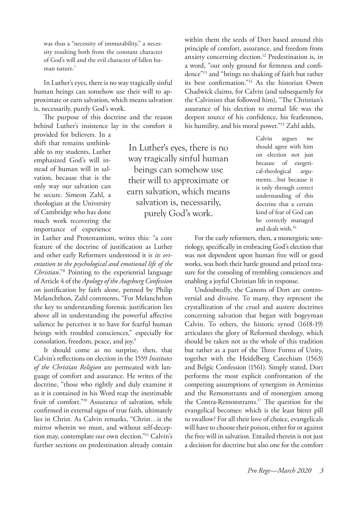was thus a "necessity of immutability," a necessity resulting both from the constant character of God's will and the evil character of fallen human nature.7

In Luther's eyes, there is no way tragically sinful human beings can somehow use their will to approximate or earn salvation, which means salvation is, necessarily, purely God's work.

The purpose of this doctrine and the reason behind Luther's insistence lay in the comfort it provided for believers. In a

shift that remains unthinkable to my students, Luther emphasized God's will instead of human will in salvation, because that is the only way our salvation can be secure. Simeon Zahl, a theologian at the University of Cambridge who has done much work recovering the importance of experience

in Luther and Protestantism, writes this: "a core feature of the doctrine of justification as Luther and other early Reformers understood it is *its orientation to the psychological and emotional life of the Christian*."8 Pointing to the experiential language of Article 4 of the *Apology of the Augsburg Confession*  on justification by faith alone, penned by Philip Melanchthon, Zahl comments, "For Melanchthon the key to understanding forensic justification lies above all in understanding the powerful affective salience he perceives it to have for fearful human beings with troubled consciences," especially for consolation, freedom, peace, and joy.<sup>9</sup>

It should come as no surprise, then, that Calvin's reflections on election in the 1559 *Institutes of the Christian Religion* are permeated with language of comfort and assurance. He writes of the doctrine, "those who rightly and duly examine it as it is contained in his Word reap the inestimable fruit of comfort."10 Assurance of salvation, while confirmed in external signs of true faith, ultimately lies in Christ. As Calvin remarks, "Christ…is the mirror wherein we must, and without self-deception may, contemplate our own election."11 Calvin's further sections on predestination already contain

In Luther's eyes, there is no way tragically sinful human beings can somehow use their will to approximate or earn salvation, which means salvation is, necessarily, purely God's work.

within them the seeds of Dort based around this principle of comfort, assurance, and freedom from anxiety concerning election.12 Predestination is, in a word, "our only ground for firmness and confidence"13 and "brings no shaking of faith but rather its best confirmation."14 As the historian Owen Chadwick claims, for Calvin (and subsequently for the Calvinists that followed him), "The Christian's assurance of his election to eternal life was the deepest source of his confidence, his fearlessness, his humility, and his moral power."15 Zahl adds,

> Calvin argues we should agree with him on election not just because of exegetical-theological arguments…but because it is only through correct understanding of this doctrine that a certain kind of fear of God can be correctly managed and dealt with.16

For the early reformers, then, a monergistic soteriology, specifically in embracing God's election that was not dependent upon human free will or good works, was both their battle ground and prized treasure for the consoling of trembling consciences and enabling a joyful Christian life in response.

Undoubtedly, the Canons of Dort are controversial and divisive. To many, they represent the crystallization of the cruel and austere doctrines concerning salvation that began with bogeyman Calvin. To others, the historic synod (1618-19) articulates the glory of Reformed theology, which should be taken not as the whole of this tradition but rather as a part of the Three Forms of Unity, together with the Heidelberg Catechism (1563) and Belgic Confession (1561). Simply stated, Dort performs the most explicit confrontation of the competing assumptions of synergism in Arminius and the Remonstrants and of monergism among the Contra-Remonstrants.17 The question for the evangelical becomes: which is the least bitter pill to swallow? For all their love of choice, evangelicals will have to choose their poison, either for or against the free will in salvation. Entailed therein is not just a decision for doctrine but also one for the comfort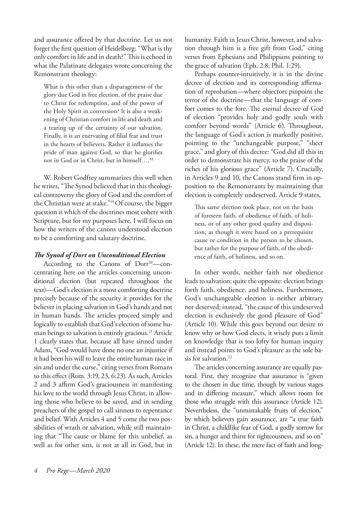and assurance offered by that doctrine. Let us not forget the first question of Heidelberg: "What is thy only comfort in life and in death?" This is echoed in what the Palatinate delegates wrote concerning the Remonstrant theology:

What is this other than a disparagement of the glory due God in free election, of the praise due to Christ for redemption, and of the power of the Holy Spirit in conversion? It is also a weakening of Christian comfort in life and death and a tearing up of the certainty of our salvation. Finally, it is an enervating of filial fear and trust in the hearts of believers. Rather it inflames the pride of man against God, so that he glorifies not in God or in Christ, but in himself….18

W. Robert Godfrey summarizes this well when he writes, "The Synod believed that in this theological controversy the glory of God and the comfort of the Christian were at stake."19 Of course, the bigger question is which of the doctrines most cohere with Scripture, but for my purposes here, I will focus on how the writers of the canons understood election to be a comforting and salutary doctrine.

#### *The Synod of Dort on Unconditional Election*

According to the Canons of  $Dort^{20}$ —concentrating here on the articles concerning unconditional election (but repeated throughout the text)—God's election is a most comforting doctrine precisely because of the security it provides for the believer in placing salvation in God's hands and not in human hands. The articles proceed simply and logically to establish that God's election of some human beings to salvation is entirely gracious.<sup>21</sup> Article 1 clearly states that, because all have sinned under Adam, "God would have done no one an injustice if it had been his will to leave the entire human race in sin and under the curse," citing verses from Romans to this effect (Rom. 3:19, 23, 6:23). As such, Articles 2 and 3 affirm God's graciousness in manifesting his love to the world through Jesus Christ, in allowing those who believe to be saved, and in sending preachers of the gospel to call sinners to repentance and belief. With Articles 4 and 5 come the two possibilities of wrath or salvation, while still maintaining that "The cause or blame for this unbelief, as well as for other sins, is not at all in God, but in

humanity. Faith in Jesus Christ, however, and salvation through him is a free gift from God," citing verses from Ephesians and Philippians pointing to the grace of salvation (Eph. 2:8; Phil. 1:29).

Perhaps counter-intuitively, it is in the divine decree of election and its corresponding affirmation of reprobation—where objectors pinpoint the terror of the doctrine—that the language of comfort comes to the fore. The eternal decree of God of election "provides holy and godly souls with comfort beyond words" (Article 6). Throughout, the language of God's action is markedly positive, pointing to the "unchangeable purpose," "sheer grace," and glory of this decree: "God did all this in order to demonstrate his mercy, to the praise of the riches of his glorious grace" (Article 7). Crucially, in Articles 9 and 10, the Canons stand firm in opposition to the Remonstrants by maintaining that election is completely undeserved. Article 9 states,

This same election took place, not on the basis of foreseen faith, of obedience of faith, of holiness, or of any other good quality and disposition, as though it were based on a prerequisite cause or condition in the person to be chosen, but rather for the purpose of faith, of the obedience of faith, of holiness, and so on.

In other words, neither faith nor obedience leads to salvation; quite the opposite: election brings forth faith, obedience, and holiness. Furthermore, God's unchangeable election is neither arbitrary nor deserved; instead, "the cause of this undeserved election is exclusively the good pleasure of God" (Article 10). While this goes beyond our desire to know why or how God elects, it wisely puts a limit on knowledge that is too lofty for human inquiry and instead points to God's pleasure as the sole basis for salvation.<sup>22</sup>

The articles concerning assurance are equally pastoral. First, they recognize that assurance is "given to the chosen in due time, though by various stages and in differing measure," which allows room for those who struggle with this assurance (Article 12). Nevertheless, the "unmistakable fruits of election," by which believers gain assurance, are "a true faith in Christ, a childlike fear of God, a godly sorrow for sin, a hunger and thirst for righteousness, and so on" (Article 12). In these, the mere fact of faith and long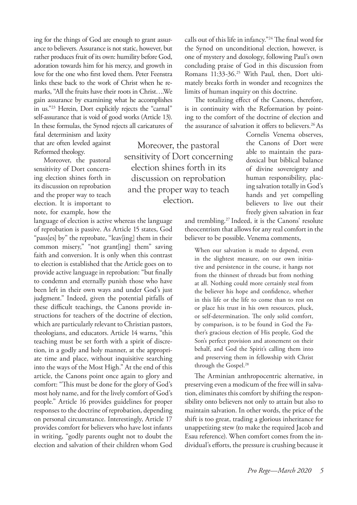ing for the things of God are enough to grant assurance to believers. Assurance is not static, however, but rather produces fruit of its own: humility before God, adoration towards him for his mercy, and growth in love for the one who first loved them. Peter Feenstra links these back to the work of Christ when he remarks, "All the fruits have their roots in Christ….We gain assurance by examining what he accomplishes in us."23 Herein, Dort explicitly rejects the "carnal" self-assurance that is void of good works (Article 13). In these formulas, the Synod rejects all caricatures of

fatal determinism and laxity that are often leveled against Reformed theology.

Moreover, the pastoral sensitivity of Dort concerning election shines forth in its discussion on reprobation and the proper way to teach election. It is important to note, for example, how the

language of election is active whereas the language of reprobation is passive. As Article 15 states, God "pass[es] by" the reprobate, "leav[ing] them in their common misery," "not grant[ing] them" saving faith and conversion. It is only when this contrast to election is established that the Article goes on to provide active language in reprobation: "but finally to condemn and eternally punish those who have been left in their own ways and under God's just judgment." Indeed, given the potential pitfalls of these difficult teachings, the Canons provide instructions for teachers of the doctrine of election, which are particularly relevant to Christian pastors, theologians, and educators. Article 14 warns, "this teaching must be set forth with a spirit of discretion, in a godly and holy manner, at the appropriate time and place, without inquisitive searching into the ways of the Most High." At the end of this article, the Canons point once again to glory and comfort: "This must be done for the glory of God's most holy name, and for the lively comfort of God's people." Article 16 provides guidelines for proper responses to the doctrine of reprobation, depending on personal circumstance. Interestingly, Article 17 provides comfort for believers who have lost infants in writing, "godly parents ought not to doubt the election and salvation of their children whom God

Moreover, the pastoral sensitivity of Dort concerning election shines forth in its discussion on reprobation and the proper way to teach election.

calls out of this life in infancy."24 The final word for the Synod on unconditional election, however, is one of mystery and doxology, following Paul's own concluding praise of God in this discussion from Romans 11:33-36.<sup>25</sup> With Paul, then, Dort ultimately breaks forth in wonder and recognizes the limits of human inquiry on this doctrine.

The totalizing effect of the Canons, therefore, is in continuity with the Reformation by pointing to the comfort of the doctrine of election and the assurance of salvation it offers to believers.<sup>26</sup> As

> Cornelis Venema observes, the Canons of Dort were able to maintain the paradoxical but biblical balance of divine sovereignty and human responsibility, placing salvation totally in God's hands and yet compelling believers to live out their freely given salvation in fear

and trembling.27 Indeed, it is the Canons' resolute theocentrism that allows for any real comfort in the believer to be possible. Venema comments,

When our salvation is made to depend, even in the slightest measure, on our own initiative and persistence in the course, it hangs not from the thinnest of threads but from nothing at all. Nothing could more certainly steal from the believer his hope and confidence, whether in this life or the life to come than to rest on or place his trust in his own resources, pluck, or self-determination. The only solid comfort, by comparison, is to be found in God the Father's gracious election of His people, God the Son's perfect provision and atonement on their behalf, and God the Spirit's calling them into and preserving them in fellowship with Christ through the Gospel.28

The Arminian anthropocentric alternative, in preserving even a modicum of the free will in salvation, eliminates this comfort by shifting the responsibility onto believers not only to attain but also to maintain salvation. In other words, the price of the shift is too great, trading a glorious inheritance for unappetizing stew (to make the required Jacob and Esau reference). When comfort comes from the individual's efforts, the pressure is crushing because it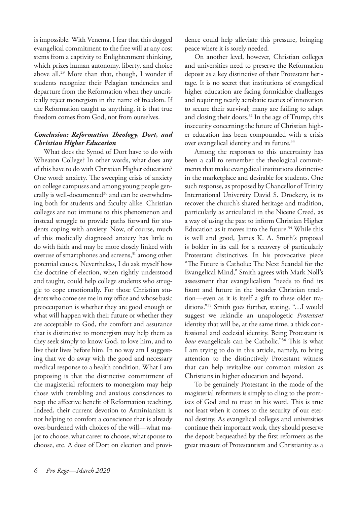is impossible. With Venema, I fear that this dogged evangelical commitment to the free will at any cost stems from a captivity to Enlightenment thinking, which prizes human autonomy, liberty, and choice above all.29 More than that, though, I wonder if students recognize their Pelagian tendencies and departure from the Reformation when they uncritically reject monergism in the name of freedom. If the Reformation taught us anything, it is that true freedom comes from God, not from ourselves.

#### *Conclusion: Reformation Theology, Dort, and Christian Higher Education*

What does the Synod of Dort have to do with Wheaton College? In other words, what does any of this have to do with Christian Higher education? One word: anxiety. The sweeping crisis of anxiety on college campuses and among young people generally is well-documented<sup>30</sup> and can be overwhelming both for students and faculty alike. Christian colleges are not immune to this phenomenon and instead struggle to provide paths forward for students coping with anxiety. Now, of course, much of this medically diagnosed anxiety has little to do with faith and may be more closely linked with overuse of smartphones and screens,<sup>31</sup> among other potential causes. Nevertheless, I do ask myself how the doctrine of election, when rightly understood and taught, could help college students who struggle to cope emotionally. For those Christian students who come see me in my office and whose basic preoccupation is whether they are good enough or what will happen with their future or whether they are acceptable to God, the comfort and assurance that is distinctive to monergism may help them as they seek simply to know God, to love him, and to live their lives before him. In no way am I suggesting that we do away with the good and necessary medical response to a health condition. What I am proposing is that the distinctive commitment of the magisterial reformers to monergism may help those with trembling and anxious consciences to reap the affective benefit of Reformation teaching. Indeed, their current devotion to Arminianism is not helping to comfort a conscience that is already over-burdened with choices of the will—what major to choose, what career to choose, what spouse to choose, etc. A dose of Dort on election and provi-

dence could help alleviate this pressure, bringing peace where it is sorely needed.

On another level, however, Christian colleges and universities need to preserve the Reformation deposit as a key distinctive of their Protestant heritage. It is no secret that institutions of evangelical higher education are facing formidable challenges and requiring nearly acrobatic tactics of innovation to secure their survival; many are failing to adapt and closing their doors. $32$  In the age of Trump, this insecurity concerning the future of Christian higher education has been compounded with a crisis over evangelical identity and its future.<sup>33</sup>

Among the responses to this uncertainty has been a call to remember the theological commitments that make evangelical institutions distinctive in the marketplace and desirable for students. One such response, as proposed by Chancellor of Trinity International University David S. Drockery, is to recover the church's shared heritage and tradition, particularly as articulated in the Nicene Creed, as a way of using the past to inform Christian Higher Education as it moves into the future.<sup>34</sup> While this is well and good, James K. A. Smith's proposal is bolder in its call for a recovery of particularly Protestant distinctives. In his provocative piece "The Future is Catholic: The Next Scandal for the Evangelical Mind," Smith agrees with Mark Noll's assessment that evangelicalism "needs to find its fount and future in the broader Christian tradition—even as it is itself a gift to these older traditions."35 Smith goes further, stating, "…I would suggest we rekindle an unapologetic *Protestant*  identity that will be, at the same time, a thick confessional and ecclesial identity. Being Protestant is *how* evangelicals can be Catholic."36 This is what I am trying to do in this article, namely, to bring attention to the distinctively Protestant witness that can help revitalize our common mission as Christians in higher education and beyond.

To be genuinely Protestant in the mode of the magisterial reformers is simply to cling to the promises of God and to trust in his word. This is true not least when it comes to the security of our eternal destiny. As evangelical colleges and universities continue their important work, they should preserve the deposit bequeathed by the first reformers as the great treasure of Protestantism and Christianity as a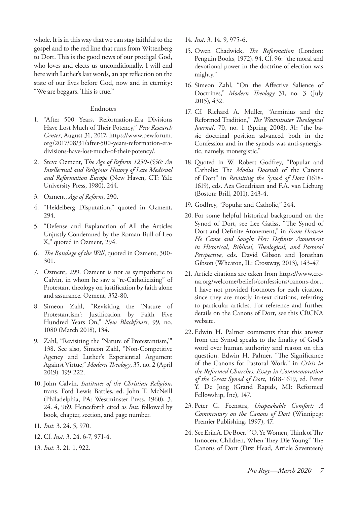whole. It is in this way that we can stay faithful to the gospel and to the red line that runs from Wittenberg to Dort. This is the good news of our prodigal God, who loves and elects us unconditionally. I will end here with Luther's last words, an apt reflection on the state of our lives before God, now and in eternity: "We are beggars. This is true."

#### Endnotes

- 1. "After 500 Years, Reformation-Era Divisions Have Lost Much of Their Potency," *Pew Research Center*, August 31, 2017, https://www.pewforum. org/2017/08/31/after-500-years-reformation-eradivisions-have-lost-much-of-their-potency/.
- 2. Steve Ozment, T*he Age of Reform 1250-1550: An Intellectual and Religious History of Late Medieval and Reformation Europe* (New Haven, CT: Yale University Press, 1980), 244.
- 3. Ozment, *Age of Reform*, 290.
- 4. "Heidelberg Disputation," quoted in Ozment, 294.
- 5. "Defense and Explanation of All the Articles Unjustly Condemned by the Roman Bull of Leo X," quoted in Ozment, 294.
- 6. *The Bondage of the Will*, quoted in Ozment, 300- 301.
- 7. Ozment, 299. Ozment is not as sympathetic to Calvin, in whom he saw a "re-Catholicizing" of Protestant theology on justification by faith alone and assurance. Ozment, 352-80.
- 8. Simeon Zahl, "Revisiting the 'Nature of Protestantism': Justification by Faith Five Hundred Years On," *New Blackfriars*, 99, no. 1080 (March 2018), 134.
- 9. Zahl, "Revisiting the 'Nature of Protestantism,'" 138. See also, Simeon Zahl, "Non-Competitive Agency and Luther's Experiential Argument Against Virtue," *Modern Theology*, 35, no. 2 (April 2019): 199-222.
- 10. John Calvin, *Institutes of the Christian Religion*, trans. Ford Lewis Battles, ed. John T. McNeill (Philadelphia, PA: Westminster Press, 1960), 3. 24. 4, 969. Henceforth cited as *Inst*. followed by book, chapter, section, and page number.
- 11. *Inst*. 3. 24. 5, 970.
- 12. Cf. *Inst*. 3. 24. 6-7, 971-4.
- 13. *Inst*. 3. 21. 1, 922.
- 14. *Inst*. 3. 14. 9, 975-6.
- 15. Owen Chadwick, *The Reformation* (London: Penguin Books, 1972), 94. Cf. 96: "the moral and devotional power in the doctrine of election was mighty."
- 16. Simeon Zahl, "On the Affective Salience of Doctrines," *Modern Theology* 31, no. 3 (July 2015), 432.
- 17. Cf. Richard A. Muller, "Arminius and the Reformed Tradition," *The Westminster Theological Journal*, 70, no. 1 (Spring 2008), 31: "the basic doctrinal position advanced both in the Confession and in the synods was anti-synergistic, namely, monergistic."
- 18. Quoted in W. Robert Godfrey, "Popular and Catholic: The *Modus Docendi* of the Canons of Dort" in *Revisiting the Synod of Dort* (1618- 1619), eds. Aza Goudriaan and F.A. van Lieburg (Boston: Brill, 2011), 243-4.
- 19. Godfrey, "Popular and Catholic," 244.
- 20. For some helpful historical background on the Synod of Dort, see Lee Gatiss, "The Synod of Dort and Definite Atonement," in *From Heaven He Came and Sought Her: Definite Atonement in Historical, Biblical, Theological, and Pastoral Perspective*, eds. David Gibson and Jonathan Gibson (Wheaton, IL: Crossway, 2013), 143-47.
- 21. Article citations are taken from https://www.crcna.org/welcome/beliefs/confessions/canons-dort. I have not provided footnotes for each citation, since they are mostly in-text citations, referring to particular articles. For reference and further details on the Canons of Dort, see this CRCNA website.
- 22. Edwin H. Palmer comments that this answer from the Synod speaks to the finality of God's word over human authority and reason on this question. Edwin H. Palmer, "The Significance of the Canons for Pastoral Work," in *Crisis in the Reformed Churches: Essays in Commemoration of the Great Synod of Dort*, 1618-1619, ed. Peter Y. De Jong (Grand Rapids, MI: Reformed Fellowship, Inc), 147.
- 23. Peter G. Feenstra, *Unspeakable Comfort: A Commentary on the Canons of Dort* (Winnipeg: Premier Publishing, 1997), 47.
- 24. See Erik A. De Boer, "'O, Ye Women, Think of Thy Innocent Children, When They Die Young!' The Canons of Dort (First Head, Article Seventeen)